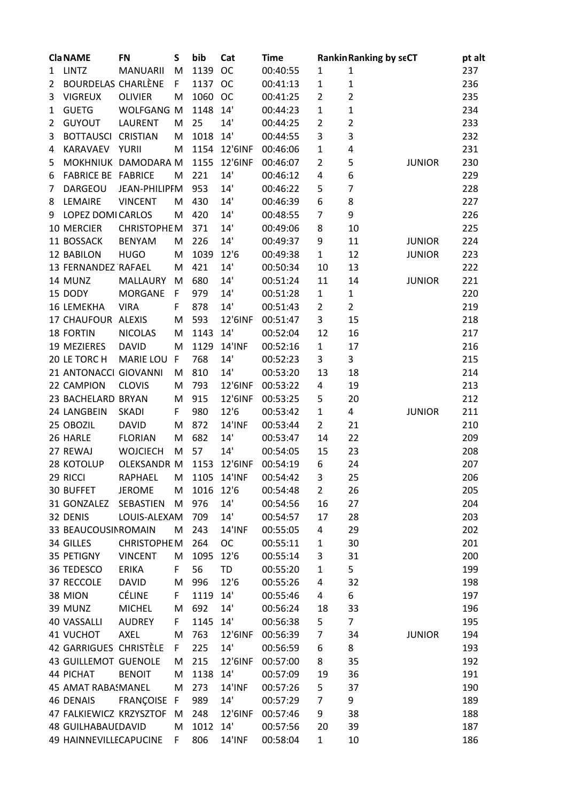|   | <b>Cla NAME</b>             | <b>FN</b>           | S  | bib       | Cat           | <b>Time</b> |                | <b>Rankin Ranking by seCT</b> |               | pt alt |
|---|-----------------------------|---------------------|----|-----------|---------------|-------------|----------------|-------------------------------|---------------|--------|
| 1 | <b>LINTZ</b>                | <b>MANUARII</b>     | M  | 1139      | <b>OC</b>     | 00:40:55    | 1              | $\mathbf{1}$                  |               | 237    |
| 2 | <b>BOURDELAS CHARLÈNE</b>   |                     | F  | 1137      | <b>OC</b>     | 00:41:13    | $\mathbf{1}$   | $\mathbf 1$                   |               | 236    |
| 3 | <b>VIGREUX</b>              | <b>OLIVIER</b>      | M  | 1060      | <b>OC</b>     | 00:41:25    | $\overline{2}$ | $\overline{2}$                |               | 235    |
| 1 | <b>GUETG</b>                | WOLFGANG M          |    | 1148      | 14'           | 00:44:23    | $\mathbf{1}$   | $\mathbf 1$                   |               | 234    |
| 2 | <b>GUYOUT</b>               | <b>LAURENT</b>      | M  | 25        | 14'           | 00:44:25    | $\overline{2}$ | $\overline{\mathbf{c}}$       |               | 233    |
| 3 | BOTTAUSCI CRISTIAN          |                     | M  | 1018      | 14'           | 00:44:55    | 3              | 3                             |               | 232    |
| 4 | KARAVAEV                    | <b>YURII</b>        | M  | 1154      | 12'6INF       | 00:46:06    | $\mathbf 1$    | 4                             |               | 231    |
| 5 |                             | MOKHNIUK DAMODARA M |    | 1155      | 12'6INF       | 00:46:07    | $\overline{2}$ | 5                             | <b>JUNIOR</b> | 230    |
| 6 | <b>FABRICE BE FABRICE</b>   |                     | M  | 221       | 14'           | 00:46:12    | 4              | 6                             |               | 229    |
| 7 | DARGEOU                     | JEAN-PHILIPFM       |    | 953       | 14'           | 00:46:22    | 5              | $\overline{7}$                |               | 228    |
| 8 | LEMAIRE                     | <b>VINCENT</b>      | M  | 430       | 14'           | 00:46:39    | 6              | 8                             |               | 227    |
| 9 | LOPEZ DOMI CARLOS           |                     | M  | 420       | 14'           | 00:48:55    | $\overline{7}$ | 9                             |               | 226    |
|   |                             |                     |    |           |               |             |                |                               |               |        |
|   | 10 MERCIER                  | <b>CHRISTOPHEM</b>  |    | 371       | 14'           | 00:49:06    | 8              | 10                            |               | 225    |
|   | 11 BOSSACK                  | <b>BENYAM</b>       | M  | 226       | 14'           | 00:49:37    | 9              | 11                            | <b>JUNIOR</b> | 224    |
|   | 12 BABILON                  | <b>HUGO</b>         | M  | 1039      | 12'6          | 00:49:38    | $\mathbf{1}$   | 12                            | <b>JUNIOR</b> | 223    |
|   | 13 FERNANDEZ RAFAEL         |                     | M  | 421       | 14'           | 00:50:34    | 10             | 13                            |               | 222    |
|   | 14 MUNZ                     | <b>MALLAURY</b>     | M  | 680       | 14'           | 00:51:24    | 11             | 14                            | <b>JUNIOR</b> | 221    |
|   | 15 DODY                     | MORGANE             | F  | 979       | 14'           | 00:51:28    | $\mathbf{1}$   | $\mathbf{1}$                  |               | 220    |
|   | 16 LEMEKHA                  | <b>VIRA</b>         | F  | 878       | 14'           | 00:51:43    | $\overline{2}$ | $\overline{2}$                |               | 219    |
|   | 17 CHAUFOUR ALEXIS          |                     | M  | 593       | 12'6INF       | 00:51:47    | 3              | 15                            |               | 218    |
|   | 18 FORTIN                   | <b>NICOLAS</b>      | M  | 1143      | 14'           | 00:52:04    | 12             | 16                            |               | 217    |
|   | 19 MEZIERES                 | <b>DAVID</b>        | M  | 1129      | <b>14'INF</b> | 00:52:16    | $\mathbf{1}$   | 17                            |               | 216    |
|   | 20 LE TORC H                | <b>MARIE LOU</b>    | F  | 768       | 14'           | 00:52:23    | 3              | 3                             |               | 215    |
|   | 21 ANTONACCI GIOVANNI       |                     | M  | 810       | 14'           | 00:53:20    | 13             | 18                            |               | 214    |
|   | 22 CAMPION                  | <b>CLOVIS</b>       | M  | 793       | 12'6INF       | 00:53:22    | 4              | 19                            |               | 213    |
|   | 23 BACHELARD BRYAN          |                     | M  | 915       | 12'6INF       | 00:53:25    | 5              | 20                            |               | 212    |
|   | 24 LANGBEIN                 | <b>SKADI</b>        | F  | 980       | 12'6          | 00:53:42    | $\mathbf 1$    | 4                             | <b>JUNIOR</b> | 211    |
|   | 25 OBOZIL                   | <b>DAVID</b>        | M  | 872       | <b>14'INF</b> | 00:53:44    | $\overline{2}$ | 21                            |               | 210    |
|   | 26 HARLE                    | <b>FLORIAN</b>      | M  | 682       | 14'           | 00:53:47    | 14             | 22                            |               | 209    |
|   | 27 REWAJ                    | <b>WOJCIECH</b>     | M  | 57        | 14'           | 00:54:05    | 15             | 23                            |               | 208    |
|   | 28 KOTOLUP                  | <b>OLEKSANDR M</b>  |    | 1153      | 12'6INF       | 00:54:19    | 6              | 24                            |               | 207    |
|   | 29 RICCI                    | RAPHAEL             |    |           | M 1105 14'INF | 00:54:42    | ς              | 25                            |               | 206    |
|   | 30 BUFFET                   | <b>JEROME</b>       | M  | 1016 12'6 |               | 00:54:48    | $\overline{2}$ | 26                            |               | 205    |
|   | 31 GONZALEZ                 | SEBASTIEN           | M  | 976       | 14'           | 00:54:56    | 16             | 27                            |               | 204    |
|   | 32 DENIS                    | LOUIS-ALEXAM        |    | 709       | 14'           | 00:54:57    | 17             | 28                            |               | 203    |
|   | 33 BEAUCOUSINROMAIN         |                     | M  | 243       | <b>14'INF</b> | 00:55:05    | 4              | 29                            |               | 202    |
|   | 34 GILLES                   | <b>CHRISTOPHEM</b>  |    | 264       | <b>OC</b>     | 00:55:11    | $\mathbf{1}$   | 30                            |               | 201    |
|   |                             |                     | M  | 1095      | 12'6          |             | 3              |                               |               | 200    |
|   | 35 PETIGNY                  | <b>VINCENT</b>      |    |           |               | 00:55:14    |                | 31                            |               |        |
|   | 36 TEDESCO                  | ERIKA               | F  | 56        | TD            | 00:55:20    | $\mathbf{1}$   | 5                             |               | 199    |
|   | 37 RECCOLE                  | <b>DAVID</b>        | M  | 996       | 12'6          | 00:55:26    | 4              | 32                            |               | 198    |
|   | 38 MION                     | CÉLINE              | F  | 1119      | 14'           | 00:55:46    | 4              | 6                             |               | 197    |
|   | 39 MUNZ                     | <b>MICHEL</b>       | M  | 692       | 14'           | 00:56:24    | 18             | 33                            |               | 196    |
|   | 40 VASSALLI                 | <b>AUDREY</b>       | F  | 1145      | 14'           | 00:56:38    | 5              | $\overline{7}$                |               | 195    |
|   | 41 VUCHOT                   | AXEL                | M  | 763       | 12'6INF       | 00:56:39    | $\overline{7}$ | 34                            | <b>JUNIOR</b> | 194    |
|   | 42 GARRIGUES CHRISTÈLE      |                     | F  | 225       | 14'           | 00:56:59    | 6              | 8                             |               | 193    |
|   | <b>43 GUILLEMOT GUENOLE</b> |                     | M  | 215       | 12'6INF       | 00:57:00    | 8              | 35                            |               | 192    |
|   | 44 PICHAT                   | <b>BENOIT</b>       | M  | 1138      | 14'           | 00:57:09    | 19             | 36                            |               | 191    |
|   | 45 AMAT RABASMANEL          |                     | M  | 273       | <b>14'INF</b> | 00:57:26    | 5              | 37                            |               | 190    |
|   | 46 DENAIS                   | FRANÇOISE F         |    | 989       | 14'           | 00:57:29    | 7              | 9                             |               | 189    |
|   | 47 FALKIEWICZ KRZYSZTOF     |                     | M  | 248       | 12'6INF       | 00:57:46    | 9              | 38                            |               | 188    |
|   | <b>48 GUILHABAUIDAVID</b>   |                     | M  | 1012      | 14'           | 00:57:56    | 20             | 39                            |               | 187    |
|   | 49 HAINNEVILLECAPUCINE      |                     | F. | 806       | <b>14'INF</b> | 00:58:04    | $\mathbf{1}$   | 10                            |               | 186    |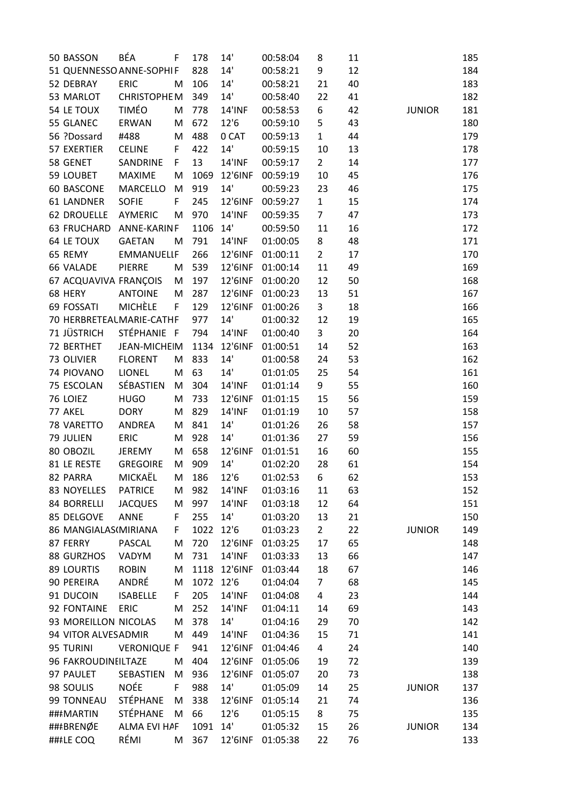| 50 BASSON             | BÉA                      | F  | 178      | 14'           | 00:58:04 | 8              | 11 |               | 185 |
|-----------------------|--------------------------|----|----------|---------------|----------|----------------|----|---------------|-----|
|                       | 51 QUENNESSO ANNE-SOPHIF |    | 828      | 14'           | 00:58:21 | 9              | 12 |               | 184 |
| 52 DEBRAY             | <b>ERIC</b>              | M  | 106      | 14'           | 00:58:21 | 21             | 40 |               | 183 |
| 53 MARLOT             | <b>CHRISTOPHEM</b>       |    | 349      | 14'           | 00:58:40 | 22             | 41 |               | 182 |
| 54 LE TOUX            | <b>TIMÉO</b>             | M  | 778      | <b>14'INF</b> | 00:58:53 | 6              | 42 | <b>JUNIOR</b> | 181 |
| 55 GLANEC             | ERWAN                    | M  | 672      | 12'6          | 00:59:10 | 5              | 43 |               | 180 |
| 56 ?Dossard           | #488                     | M  | 488      | 0 CAT         | 00:59:13 | $\mathbf{1}$   | 44 |               | 179 |
| 57 EXERTIER           | <b>CELINE</b>            | F  | 422      | 14'           | 00:59:15 | 10             | 13 |               | 178 |
| 58 GENET              | SANDRINE                 | F  | 13       | <b>14'INF</b> | 00:59:17 | $\overline{2}$ | 14 |               | 177 |
| 59 LOUBET             | <b>MAXIME</b>            | M  | 1069     | 12'6INF       | 00:59:19 | 10             | 45 |               | 176 |
| 60 BASCONE            | MARCELLO                 | M  | 919      | 14'           | 00:59:23 | 23             | 46 |               | 175 |
| <b>61 LANDNER</b>     | <b>SOFIE</b>             | F  | 245      | 12'6INF       | 00:59:27 | $\mathbf{1}$   | 15 |               | 174 |
| <b>62 DROUELLE</b>    | <b>AYMERIC</b>           | M  | 970      | <b>14'INF</b> | 00:59:35 | $\overline{7}$ | 47 |               | 173 |
| <b>63 FRUCHARD</b>    | ANNE-KARIN F             |    | 1106     | 14'           | 00:59:50 | 11             |    |               | 172 |
| 64 LE TOUX            |                          |    |          | <b>14'INF</b> |          |                | 16 |               |     |
|                       | <b>GAETAN</b>            | M  | 791      |               | 01:00:05 | 8              | 48 |               | 171 |
| 65 REMY               | <b>EMMANUELLF</b>        |    | 266      | 12'6INF       | 01:00:11 | $\overline{2}$ | 17 |               | 170 |
| <b>66 VALADE</b>      | <b>PIERRE</b>            | M  | 539      | 12'6INF       | 01:00:14 | 11             | 49 |               | 169 |
| 67 ACQUAVIVA FRANÇOIS |                          | M  | 197      | 12'6INF       | 01:00:20 | 12             | 50 |               | 168 |
| 68 HERY               | <b>ANTOINE</b>           | M  | 287      | 12'6INF       | 01:00:23 | 13             | 51 |               | 167 |
| 69 FOSSATI            | <b>MICHÈLE</b>           | F  | 129      | 12'6INF       | 01:00:26 | 3              | 18 |               | 166 |
|                       | 70 HERBRETEALMARIE-CATHF |    | 977      | 14'           | 01:00:32 | 12             | 19 |               | 165 |
| 71 JÜSTRICH           | STÉPHANIE F              |    | 794      | <b>14'INF</b> | 01:00:40 | 3              | 20 |               | 164 |
| 72 BERTHET            | JEAN-MICHEIM             |    | 1134     | 12'6INF       | 01:00:51 | 14             | 52 |               | 163 |
| 73 OLIVIER            | <b>FLORENT</b>           | M  | 833      | 14'           | 01:00:58 | 24             | 53 |               | 162 |
| 74 PIOVANO            | <b>LIONEL</b>            | M  | 63       | 14'           | 01:01:05 | 25             | 54 |               | 161 |
| 75 ESCOLAN            | SÉBASTIEN                | M  | 304      | <b>14'INF</b> | 01:01:14 | 9              | 55 |               | 160 |
| 76 LOIEZ              | <b>HUGO</b>              | M  | 733      | 12'6INF       | 01:01:15 | 15             | 56 |               | 159 |
| 77 AKEL               | <b>DORY</b>              | M  | 829      | <b>14'INF</b> | 01:01:19 | 10             | 57 |               | 158 |
| 78 VARETTO            | <b>ANDREA</b>            | M  | 841      | 14'           | 01:01:26 | 26             | 58 |               | 157 |
| 79 JULIEN             | <b>ERIC</b>              | M  | 928      | 14'           | 01:01:36 | 27             | 59 |               | 156 |
| 80 OBOZIL             | <b>JEREMY</b>            | M  | 658      | 12'6INF       | 01:01:51 | 16             | 60 |               | 155 |
| 81 LE RESTE           | <b>GREGOIRE</b>          | M  | 909      | 14'           | 01:02:20 | 28             | 61 |               | 154 |
| 82 PARRA              | MICKAËL                  |    | M 186    | 12'6          | 01:02:53 | 6              | 62 |               | 153 |
| 83 NOYELLES           | <b>PATRICE</b>           | M  | 982      | <b>14'INF</b> | 01:03:16 | 11             | 63 |               | 152 |
| 84 BORRELLI           | <b>JACQUES</b>           | M  | 997      | <b>14'INF</b> | 01:03:18 | 12             | 64 |               | 151 |
| 85 DELGOVE            | ANNE                     | F  | 255      | 14'           | 01:03:20 | 13             | 21 |               | 150 |
| 86 MANGIALAS(MIRIANA  |                          | F  | 1022     | 12'6          | 01:03:23 | $\overline{2}$ | 22 | <b>JUNIOR</b> | 149 |
| 87 FERRY              | <b>PASCAL</b>            | M  | 720      | 12'6INF       | 01:03:25 | 17             | 65 |               | 148 |
| 88 GURZHOS            | VADYM                    | M  | 731      | <b>14'INF</b> | 01:03:33 | 13             | 66 |               | 147 |
| 89 LOURTIS            | <b>ROBIN</b>             | M  | 1118     | 12'6INF       | 01:03:44 | 18             | 67 |               | 146 |
| 90 PEREIRA            | ANDRÉ                    | M  | 1072     | 12'6          | 01:04:04 | $\overline{7}$ | 68 |               | 145 |
| 91 DUCOIN             | <b>ISABELLE</b>          | F. | 205      | <b>14'INF</b> | 01:04:08 | 4              | 23 |               | 144 |
| 92 FONTAINE           | <b>ERIC</b>              | M  | 252      | <b>14'INF</b> | 01:04:11 | 14             | 69 |               | 143 |
| 93 MOREILLON NICOLAS  |                          | M  | 378      | 14'           | 01:04:16 | 29             | 70 |               | 142 |
| 94 VITOR ALVESADMIR   |                          | M  | 449      | <b>14'INF</b> | 01:04:36 | 15             | 71 |               | 141 |
| 95 TURINI             | <b>VERONIQUE F</b>       |    | 941      | 12'6INF       | 01:04:46 | $\overline{4}$ | 24 |               | 140 |
|                       |                          |    |          |               |          | 19             |    |               |     |
| 96 FAKROUDINEILTAZE   |                          | M  | 404      | 12'6INF       | 01:05:06 |                | 72 |               | 139 |
| 97 PAULET             | SEBASTIEN                | M  | 936      | 12'6INF       | 01:05:07 | 20             | 73 |               | 138 |
| 98 SOULIS             | <b>NOÉE</b>              | F. | 988      | 14'           | 01:05:09 | 14             | 25 | <b>JUNIOR</b> | 137 |
| 99 TONNEAU            | STÉPHANE                 | M  | 338      | 12'6INF       | 01:05:14 | 21             | 74 |               | 136 |
| ###MARTIN             | <b>STÉPHANE</b>          | M  | 66       | 12'6          | 01:05:15 | 8              | 75 |               | 135 |
| ###BRENØE             | <b>ALMA EVI HAF</b>      |    | 1091 14' |               | 01:05:32 | 15             | 26 | <b>JUNIOR</b> | 134 |
| ###LE COQ             | RÉMI                     |    | M 367    | 12'6INF       | 01:05:38 | 22             | 76 |               | 133 |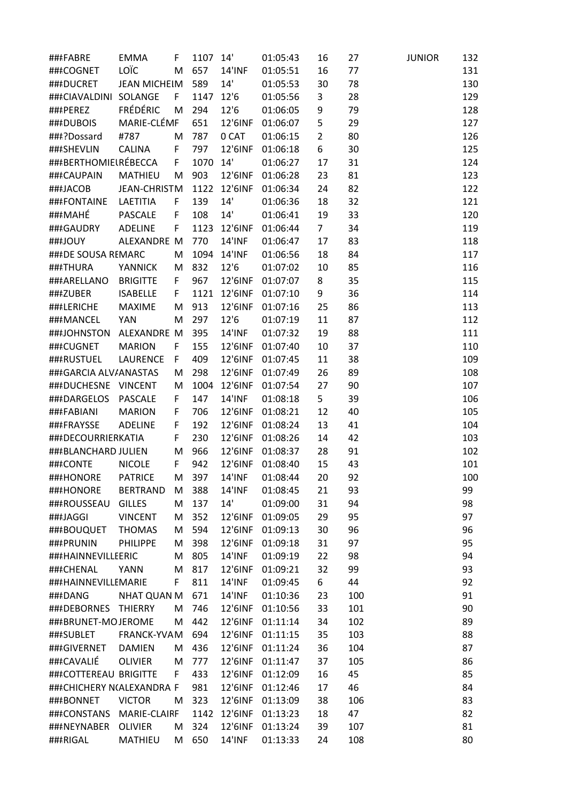| ###FABRE                  | <b>EMMA</b>         | F  | 1107     | 14'           | 01:05:43         | 16             | 27  | <b>JUNIOR</b> | 132 |
|---------------------------|---------------------|----|----------|---------------|------------------|----------------|-----|---------------|-----|
| ###COGNET                 | LOÏC                | M  | 657      | <b>14'INF</b> | 01:05:51         | 16             | 77  |               | 131 |
| ###DUCRET                 | <b>JEAN MICHEIM</b> |    | 589      | 14'           | 01:05:53         | 30             | 78  |               | 130 |
| ###CIAVALDINI SOLANGE     |                     | F  | 1147     | 12'6          | 01:05:56         | 3              | 28  |               | 129 |
| ###PEREZ                  | <b>FRÉDÉRIC</b>     | M  | 294      | 12'6          | 01:06:05         | 9              | 79  |               | 128 |
| ###DUBOIS                 | MARIE-CLÉMF         |    | 651      | 12'6INF       | 01:06:07         | 5              | 29  |               | 127 |
| ###?Dossard               | #787                | M  | 787      | 0 CAT         | 01:06:15         | $\overline{2}$ | 80  |               | 126 |
| ###SHEVLIN                | <b>CALINA</b>       | F  | 797      | 12'6INF       | 01:06:18         | 6              | 30  |               | 125 |
| ###BERTHOMIELRÉBECCA      |                     | F. | 1070 14' |               | 01:06:27         | 17             | 31  |               | 124 |
| ###CAUPAIN                | <b>MATHIEU</b>      | M  | 903      | 12'6INF       | 01:06:28         | 23             | 81  |               | 123 |
| ###JACOB                  | <b>JEAN-CHRISTM</b> |    | 1122     | 12'6INF       | 01:06:34         | 24             | 82  |               | 122 |
| ###FONTAINE               | LAETITIA            | F  | 139      | 14'           | 01:06:36         | 18             | 32  |               | 121 |
|                           |                     |    |          | 14'           |                  |                |     |               |     |
| ###MAHÉ                   | <b>PASCALE</b>      | F  | 108      |               | 01:06:41         | 19             | 33  |               | 120 |
| ###GAUDRY                 | <b>ADELINE</b>      | F  | 1123     | 12'6INF       | 01:06:44         | $\overline{7}$ | 34  |               | 119 |
| ###JOUY                   | ALEXANDRE M         |    | 770      | <b>14'INF</b> | 01:06:47         | 17             | 83  |               | 118 |
| ###DE SOUSA REMARC        |                     | M  | 1094     | 14'INF        | 01:06:56         | 18             | 84  |               | 117 |
| ###THURA                  | <b>YANNICK</b>      | M  | 832      | 12'6          | 01:07:02         | 10             | 85  |               | 116 |
| ###ARELLANO               | <b>BRIGITTE</b>     | F. | 967      | 12'6INF       | 01:07:07         | 8              | 35  |               | 115 |
| ###ZUBER                  | <b>ISABELLE</b>     | F. | 1121     | 12'6INF       | 01:07:10         | 9              | 36  |               | 114 |
| ###LERICHE                | MAXIME              | M  | 913      | 12'6INF       | 01:07:16         | 25             | 86  |               | 113 |
| ###MANCEL                 | <b>YAN</b>          | M  | 297      | 12'6          | 01:07:19         | 11             | 87  |               | 112 |
| ###JOHNSTON               | ALEXANDRE M         |    | 395      | <b>14'INF</b> | 01:07:32         | 19             | 88  |               | 111 |
| ###CUGNET                 | <b>MARION</b>       | F  | 155      | 12'6INF       | 01:07:40         | 10             | 37  |               | 110 |
| ###RUSTUEL                | <b>LAURENCE</b>     | F  | 409      | 12'6INF       | 01:07:45         | 11             | 38  |               | 109 |
| ###GARCIA ALV/ANASTAS     |                     | M  | 298      | 12'6INF       | 01:07:49         | 26             | 89  |               | 108 |
| ###DUCHESNE               | <b>VINCENT</b>      | M  | 1004     | 12'6INF       | 01:07:54         | 27             | 90  |               | 107 |
| ###DARGELOS               | PASCALE             | F  | 147      | <b>14'INF</b> | 01:08:18         | 5              | 39  |               | 106 |
| ###FABIANI                | <b>MARION</b>       | F  | 706      | 12'6INF       | 01:08:21         | 12             | 40  |               | 105 |
| ###FRAYSSE                | <b>ADELINE</b>      | F  | 192      | 12'6INF       | 01:08:24         | 13             | 41  |               | 104 |
| ###DECOURRIERKATIA        |                     | F  | 230      | 12'6INF       | 01:08:26         | 14             | 42  |               | 103 |
| ###BLANCHARD JULIEN       |                     | M  | 966      | 12'6INF       | 01:08:37         | 28             | 91  |               | 102 |
| ###CONTE                  | <b>NICOLE</b>       | F  | 942      | 12'6INF       | 01:08:40         | 15             | 43  |               | 101 |
| ###HONORE PATRICE         |                     |    | M 397    |               | 14'INF 01:08:44  | 20             | 92  |               | 100 |
| ###HONORE                 | <b>BERTRAND</b>     | M  | 388      | <b>14'INF</b> | 01:08:45         | 21             | 93  |               | 99  |
| ###ROUSSEAU               | <b>GILLES</b>       | M  | 137      | 14'           | 01:09:00         | 31             | 94  |               | 98  |
|                           |                     |    |          |               |                  |                |     |               | 97  |
| ###JAGGI                  | <b>VINCENT</b>      | M  | 352      | 12'6INF       | 01:09:05         | 29             | 95  |               |     |
| ###BOUQUET                | <b>THOMAS</b>       | M  | 594      | 12'6INF       | 01:09:13         | 30             | 96  |               | 96  |
| ###PRUNIN                 | <b>PHILIPPE</b>     | M  | 398      | 12'6INF       | 01:09:18         | 31             | 97  |               | 95  |
| ###HAINNEVILLEERIC        |                     | M  | 805      | 14'INF        | 01:09:19         | 22             | 98  |               | 94  |
| ###CHENAL                 | <b>YANN</b>         | M  | 817      | 12'6INF       | 01:09:21         | 32             | 99  |               | 93  |
| ###HAINNEVILLEMARIE       |                     | F. | 811      | <b>14'INF</b> | 01:09:45         | 6              | 44  |               | 92  |
| ###DANG                   | <b>NHAT QUAN M</b>  |    | 671      | <b>14'INF</b> | 01:10:36         | 23             | 100 |               | 91  |
| ###DEBORNES THIERRY       |                     | M  | 746      | 12'6INF       | 01:10:56         | 33             | 101 |               | 90  |
| ###BRUNET-MOJEROME        |                     | M  | 442      | 12'6INF       | 01:11:14         | 34             | 102 |               | 89  |
| ###SUBLET                 | FRANCK-YVAM         |    | 694      | 12'6INF       | 01:11:15         | 35             | 103 |               | 88  |
| ###GIVERNET               | <b>DAMIEN</b>       | M  | 436      | 12'6INF       | 01:11:24         | 36             | 104 |               | 87  |
| ###CAVALIÉ                | <b>OLIVIER</b>      | M  | 777      |               | 12'6INF 01:11:47 | 37             | 105 |               | 86  |
| ###COTTEREAU BRIGITTE     |                     | F. | 433      | 12'6INF       | 01:12:09         | 16             | 45  |               | 85  |
| ###CHICHERY N(ALEXANDRA F |                     |    | 981      | 12'6INF       | 01:12:46         | 17             | 46  |               | 84  |
| ###BONNET                 | <b>VICTOR</b>       | M  | 323      | 12'6INF       | 01:13:09         | 38             | 106 |               | 83  |
| ###CONSTANS MARIE-CLAIRF  |                     |    | 1142     | 12'6INF       | 01:13:23         | 18             | 47  |               | 82  |
| ###NEYNABER               | OLIVIER             | M  | 324      | 12'6INF       | 01:13:24         | 39             | 107 |               | 81  |
| ###RIGAL                  | MATHIEU             | M  | 650      | 14'INF        | 01:13:33         | 24             | 108 |               | 80  |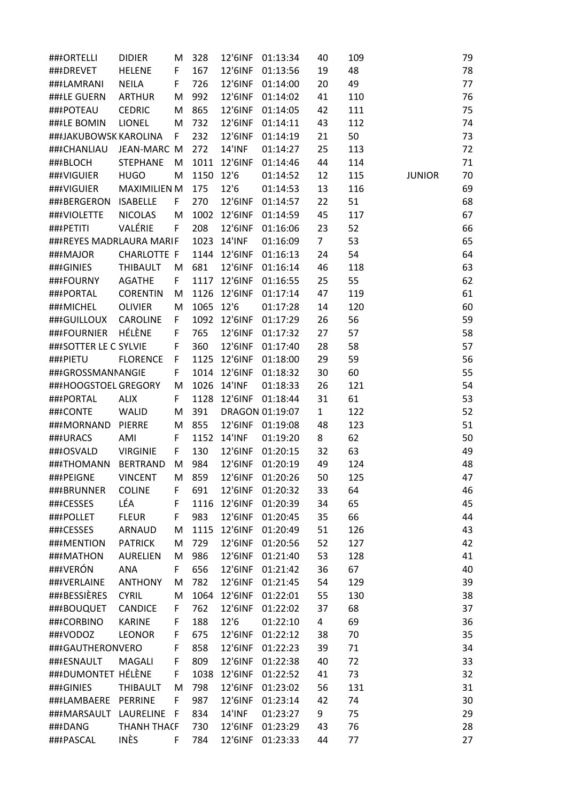| ###ORTELLI               | <b>DIDIER</b>       | M   | 328  | 12'6INF            | 01:13:34              | 40             | 109 |               | 79 |
|--------------------------|---------------------|-----|------|--------------------|-----------------------|----------------|-----|---------------|----|
| ###DREVET                | <b>HELENE</b>       | F.  | 167  | 12'6INF            | 01:13:56              | 19             | 48  |               | 78 |
| ###LAMRANI               | <b>NEILA</b>        | F.  | 726  |                    | 12'6INF 01:14:00      | 20             | 49  |               | 77 |
| ###LE GUERN              | <b>ARTHUR</b>       | M   | 992  |                    | 12'6INF 01:14:02      | 41             | 110 |               | 76 |
| ###POTEAU                | <b>CEDRIC</b>       | M   | 865  | 12'6INF            | 01:14:05              | 42             | 111 |               | 75 |
| ###LE BOMIN              | <b>LIONEL</b>       | M   | 732  | 12'6INF            | 01:14:11              | 43             | 112 |               | 74 |
| ###JAKUBOWSK KAROLINA    |                     | F.  | 232  |                    | 12'6INF 01:14:19      | 21             | 50  |               | 73 |
| ###CHANLIAU              | JEAN-MARC M         |     | 272  | <b>14'INF</b>      | 01:14:27              | 25             | 113 |               | 72 |
| ###BLOCH                 | <b>STEPHANE</b>     | M   |      | 1011 12'6INF       | 01:14:46              | 44             | 114 |               | 71 |
| ###VIGUIER               | <b>HUGO</b>         | M   | 1150 | 12'6               | 01:14:52              | 12             | 115 | <b>JUNIOR</b> | 70 |
| ###VIGUIER               | <b>MAXIMILIEN M</b> |     | 175  | 12'6               | 01:14:53              | 13             | 116 |               | 69 |
| ###BERGERON              | ISABELLE            | F.  | 270  | 12'6INF            | 01:14:57              | 22             | 51  |               | 68 |
| ###VIOLETTE              | <b>NICOLAS</b>      | M   | 1002 | 12'6INF            | 01:14:59              | 45             | 117 |               | 67 |
| ###PETITI                | VALÉRIE             | F.  | 208  |                    | 12'6INF 01:16:06      | 23             | 52  |               | 66 |
| ###REYES MADRLAURA MARIF |                     |     |      | 1023 14'INF        | 01:16:09              | $\overline{7}$ | 53  |               | 65 |
| ###MAJOR                 | <b>CHARLOTTE F</b>  |     |      |                    | 1144 12'6INF 01:16:13 | 24             | 54  |               | 64 |
|                          | <b>THIBAULT</b>     |     | 681  |                    | 12'6INF 01:16:14      | 46             | 118 |               | 63 |
| ###GINIES<br>###FOURNY   |                     | M   |      |                    |                       |                |     |               |    |
|                          | <b>AGATHE</b>       | F.  | 1117 | 12'6INF<br>12'6INF | 01:16:55              | 25             | 55  |               | 62 |
| ###PORTAL                | <b>CORENTIN</b>     | M   | 1126 |                    | 01:17:14              | 47             | 119 |               | 61 |
| ###MICHEL                | <b>OLIVIER</b>      | M   | 1065 | 12'6               | 01:17:28              | 14             | 120 |               | 60 |
| ###GUILLOUX              | <b>CAROLINE</b>     | F.  |      | 1092 12'6INF       | 01:17:29              | 26             | 56  |               | 59 |
| ###FOURNIER              | HÉLÈNE              | F.  | 765  | 12'6INF            | 01:17:32              | 27             | 57  |               | 58 |
| ###SOTTER LE C SYLVIE    |                     | F   | 360  |                    | 12'6INF 01:17:40      | 28             | 58  |               | 57 |
| ###PIETU                 | <b>FLORENCE</b>     | F.  |      |                    | 1125 12'6INF 01:18:00 | 29             | 59  |               | 56 |
| ###GROSSMANNANGIE        |                     | F.  | 1014 | 12'6INF            | 01:18:32              | 30             | 60  |               | 55 |
| ###HOOGSTOEL GREGORY     |                     | M   | 1026 | <b>14'INF</b>      | 01:18:33              | 26             | 121 |               | 54 |
| ###PORTAL                | <b>ALIX</b>         | F.  | 1128 |                    | 12'6INF 01:18:44      | 31             | 61  |               | 53 |
| ###CONTE                 | <b>WALID</b>        | M   | 391  |                    | DRAGON 01:19:07       | $\mathbf{1}$   | 122 |               | 52 |
| ###MORNAND               | PIERRE              | M   | 855  |                    | 12'6INF 01:19:08      | 48             | 123 |               | 51 |
| ###URACS                 | AMI                 | F.  | 1152 | 14'INF             | 01:19:20              | 8              | 62  |               | 50 |
| ###OSVALD                | <b>VIRGINIE</b>     | F.  | 130  |                    | 12'6INF 01:20:15      | 32             | 63  |               | 49 |
| ###THOMANN               | BERTRAND            | M   | 984  | 12'6INF            | 01:20:19              | 49             | 124 |               | 48 |
|                          |                     |     |      |                    |                       | 50             | 125 |               | 47 |
| ###BRUNNER               | <b>COLINE</b>       | F   | 691  |                    | 12'6INF 01:20:32      | 33             | 64  |               | 46 |
| ###CESSES                | LÉA                 | F   | 1116 | 12'6INF            | 01:20:39              | 34             | 65  |               | 45 |
| ###POLLET                | <b>FLEUR</b>        | F   | 983  | 12'6INF            | 01:20:45              | 35             | 66  |               | 44 |
| ###CESSES                | ARNAUD              | M   | 1115 |                    | 12'6INF 01:20:49      | 51             | 126 |               | 43 |
| ###MENTION               | <b>PATRICK</b>      | M   | 729  | 12'6INF            | 01:20:56              | 52             | 127 |               | 42 |
| ###MATHON                | <b>AURELIEN</b>     | M   | 986  | 12'6INF            | 01:21:40              | 53             | 128 |               | 41 |
| ###VERÓN                 | ANA                 | F.  | 656  |                    | 12'6INF 01:21:42      | 36             | 67  |               | 40 |
| ###VERLAINE              | <b>ANTHONY</b>      | M   | 782  |                    | 12'6INF 01:21:45      | 54             | 129 |               | 39 |
| ###BESSIÈRES             | <b>CYRIL</b>        | M   | 1064 | 12'6INF            | 01:22:01              | 55             | 130 |               | 38 |
| ###BOUQUET               | <b>CANDICE</b>      | F.  | 762  | 12'6INF            | 01:22:02              | 37             | 68  |               | 37 |
| ###CORBINO               | <b>KARINE</b>       | F   | 188  | 12'6               | 01:22:10              | 4              | 69  |               | 36 |
| ###VODOZ                 | <b>LEONOR</b>       | F   | 675  | 12'6INF            | 01:22:12              | 38             | 70  |               | 35 |
| ###GAUTHERONVERO         |                     | F   | 858  | 12'6INF            | 01:22:23              | 39             | 71  |               | 34 |
| ###ESNAULT               | <b>MAGALI</b>       | F   | 809  |                    | 12'6INF 01:22:38      | 40             | 72  |               | 33 |
| ###DUMONTET HÉLÈNE       |                     | F.  | 1038 | 12'6INF            | 01:22:52              | 41             | 73  |               | 32 |
| ###GINIES                | <b>THIBAULT</b>     | M   | 798  | 12'6INF            | 01:23:02              | 56             | 131 |               | 31 |
| ###LAMBAERE PERRINE      |                     | F.  | 987  | 12'6INF            | 01:23:14              | 42             | 74  |               | 30 |
| ###MARSAULT LAURELINE    |                     | - F | 834  | <b>14'INF</b>      | 01:23:27              | 9              | 75  |               | 29 |
| ###DANG                  | <b>THANH THACF</b>  |     | 730  | 12'6INF            | 01:23:29              | 43             | 76  |               | 28 |
| ###PASCAL                | <b>INÈS</b>         | F.  | 784  |                    | 12'6INF 01:23:33      | 44             | 77  |               | 27 |
|                          |                     |     |      |                    |                       |                |     |               |    |